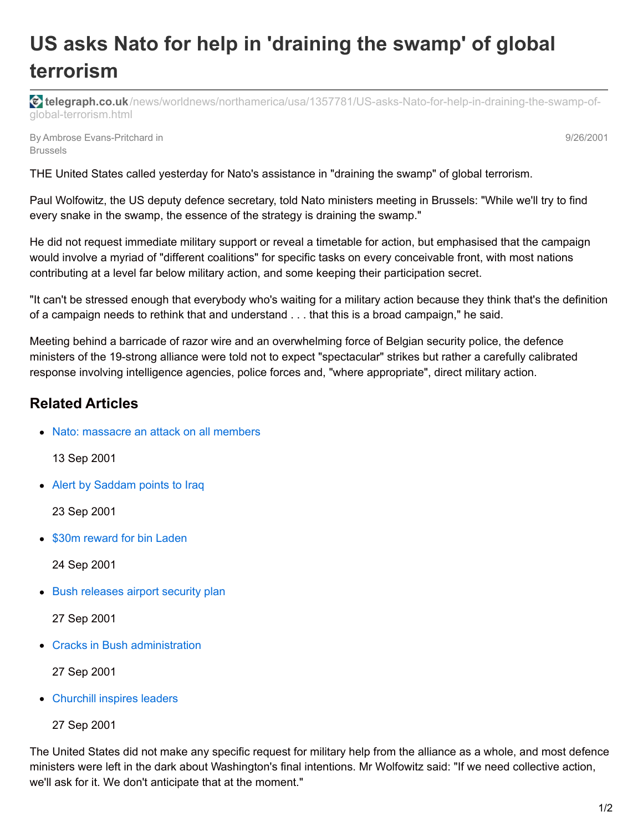## **US asks Nato for help in 'draining the swamp' of global terrorism**

**telegraph.co.uk**[/news/worldnews/northamerica/usa/1357781/US-asks-Nato-for-help-in-draining-the-swamp-of](http://www.telegraph.co.uk/news/worldnews/northamerica/usa/1357781/US-asks-Nato-for-help-in-draining-the-swamp-of-global-terrorism.html)global-terrorism.html

By Ambrose Evans-Pritchard in Brussels

9/26/2001

THE United States called yesterday for Nato's assistance in "draining the swamp" of global terrorism.

Paul Wolfowitz, the US deputy defence secretary, told Nato ministers meeting in Brussels: "While we'll try to find every snake in the swamp, the essence of the strategy is draining the swamp."

He did not request immediate military support or reveal a timetable for action, but emphasised that the campaign would involve a myriad of "different coalitions" for specific tasks on every conceivable front, with most nations contributing at a level far below military action, and some keeping their participation secret.

"It can't be stressed enough that everybody who's waiting for a military action because they think that's the definition of a campaign needs to rethink that and understand . . . that this is a broad campaign," he said.

Meeting behind a barricade of razor wire and an overwhelming force of Belgian security police, the defence ministers of the 19-strong alliance were told not to expect "spectacular" strikes but rather a carefully calibrated response involving intelligence agencies, police forces and, "where appropriate", direct military action.

## **Related Articles**

• Nato: [massacre](http://www.telegraph.co.uk/news/worldnews/1340439/Nato-massacre-an-attack-on-all-members.html) an attack on all members

13 Sep 2001

• Alert by [Saddam](http://www.telegraph.co.uk/news/worldnews/northamerica/usa/1341394/Alert-by-Saddam-points-to-Iraq.html) points to Iraq

23 Sep 2001

• \$30m [reward](http://www.telegraph.co.uk/news/worldnews/asia/afghanistan/1341472/US-raises-reward-for-bin-Laden-to-30m.html) for bin Laden

24 Sep 2001

• Bush [releases](http://www.telegraph.co.uk/news/1357722/Bush-releases-airport-security-plan.html) airport security plan

27 Sep 2001

• Cracks in Bush [administration](http://www.telegraph.co.uk/news/worldnews/northamerica/usa/1357779/Cracks-start-to-show-in-approach-to-conflict.html)

27 Sep 2001

- [Churchill](http://www.telegraph.co.uk/news/worldnews/northamerica/usa/1357780/Churchill-spirit-inspires-Bush-and-Giuliani.html) inspires leaders
	- 27 Sep 2001

The United States did not make any specific request for military help from the alliance as a whole, and most defence ministers were left in the dark about Washington's final intentions. Mr Wolfowitz said: "If we need collective action, we'll ask for it. We don't anticipate that at the moment."